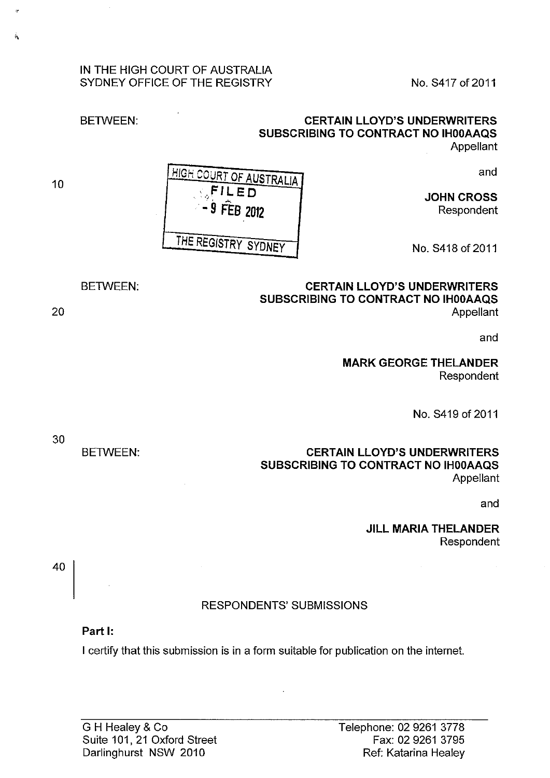## IN THE HIGH COURT OF AUSTRALIA SYDNEY OFFICE OF THE REGISTRY NO. S417 of 2011

## **CERTAIN LLOYD'S UNDERWRITERS SUBSCRIBING TO CONTRACT NO IHOOAAQS**  Appellant

and

**JOHN CROSS**  Respondent

No.S418of2011

**CERTAIN LLOYD'S UNDERWRITERS SUBSCRIBING TO CONTRACT NO IHOOAAQS**  Appellant

and

**MARK GEORGE THELANDER**  Respondent

No. S419 of 2011

**CERTAIN LLOYD'S UNDERWRITERS SUBSCRIBING TO CONTRACT NO IHOOAAQS**  Appellant

and

**JILL MARIA THELANDER**  Respondent

# RESPONDENTS' SUBMISSIONS

## **Part 1:**

I certify that this submission is in a form suitable for publication on the internet.

**,\_F!Leo**  ·. *:9* **FEB <sup>2012</sup>** THE REGISTRY SYDNEY

BETWEEN:

20

10

 $\hat{b}$ 

30

40

BETWEEN:

HIGH COURT OF AUSTRALIA

BETWEEN: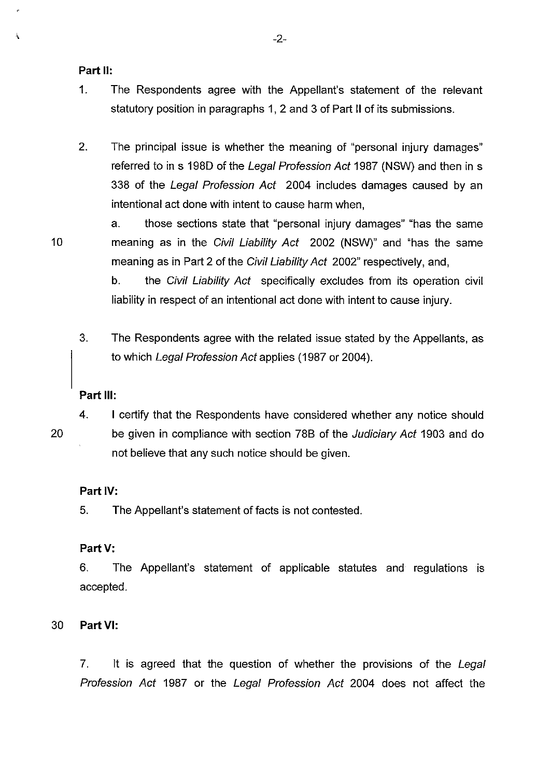### **Part II:**

- 1. The Respondents agree with the Appellant's statement of the relevant statutory position in paragraphs 1, 2 and 3 of Part II of its submissions.
- 2. The principal issue is whether the meaning of "personal injury damages" referred to in s 1980 of the Legal Profession Act 1987 (NSW) and then in s 338 of the Legal Profession Act 2004 includes damages caused by an intentional act done with intent to cause harm when,
- a. those sections state that "personal injury damages" "has the same 10 meaning as in the Civil Liability Act 2002 (NSW)" and "has the same meaning as in Part 2 of the Civil Liability Act 2002" respectively, and,

b. the Civil Liability Act specifically excludes from its operation civil liability in respect of an intentional act done with intent to cause injury.

3. The Respondents agree with the related issue stated by the Appellants, as to which Legal Profession Act applies (1987 or 2004).

#### **Part Ill:**

4. I certify that the Respondents have considered whether any notice should 20 be given in compliance with section 78B of the Judiciary Act 1903 and do not believe that any such notice should be given.

## **Part** IV:

5. The Appellant's statement of facts is not contested.

### **Part V:**

6. The Appellant's statement of applicable statutes and regulations is accepted.

## 30 **PartVI:**

7. It is agreed that the question of whether the provisions of the Legal Profession Act 1987 or the Legal Profession Act 2004 does not affect the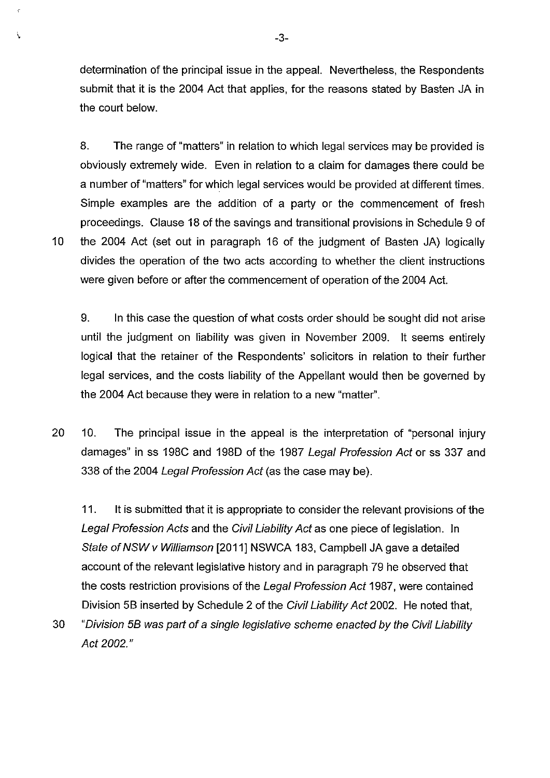determination of the principal issue in the appeal. Nevertheless, the Respondents submit that it is the 2004 Act that applies, for the reasons stated by Basten JA in the court below.

8. The range of "matters" in relation to which legal services may be provided is obviously extremely wide. Even in relation to a claim for damages there could be a number of "matters" for which legal services would be provided at different times. Simple examples are the addition of a party or the commencement of fresh proceedings. Clause 18 of the savings and transitional provisions in Schedule 9 of 10 the 2004 Act (set out in paragraph 16 of the judgment of Basten JA) logically divides the operation of the two acts according to whether the client instructions were given before or after the commencement of operation of the 2004 Act.

9. In this case the question of what costs order should be sought did not arise until the judgment on liability was given in November 2009. It seems entirely logical that the retainer of the Respondents' solicitors in relation to their further legal services, and the costs liability of the Appellant would then be governed by the 2004 Act because they were in relation to a new "matter".

20 10. The principal issue in the appeal is the interpretation of "personal injury damages" in ss 198C and 1980 of the 1987 Legal Profession Act or ss 337 and 338 of the 2004 Legal Profession Act (as the case may be).

11. It is submitted that it is appropriate to consider the relevant provisions of the Legal Profession Acts and the Civil Liability Act as one piece of legislation. In State of NSW v Williamson [2011] NSWCA 183, Campbell JA gave a detailed account of the relevant legislative history and in paragraph· 79 he observed that the costs restriction provisions of the Legal Profession Act 1987, were contained Division 58 inserted by Schedule 2 of the Civil Liability Act 2002. He noted that,

30 "Division 58 was part of a single legislative scheme enacted by the Civil Liability Act 2002."

 $\overline{\mathbf{C}}$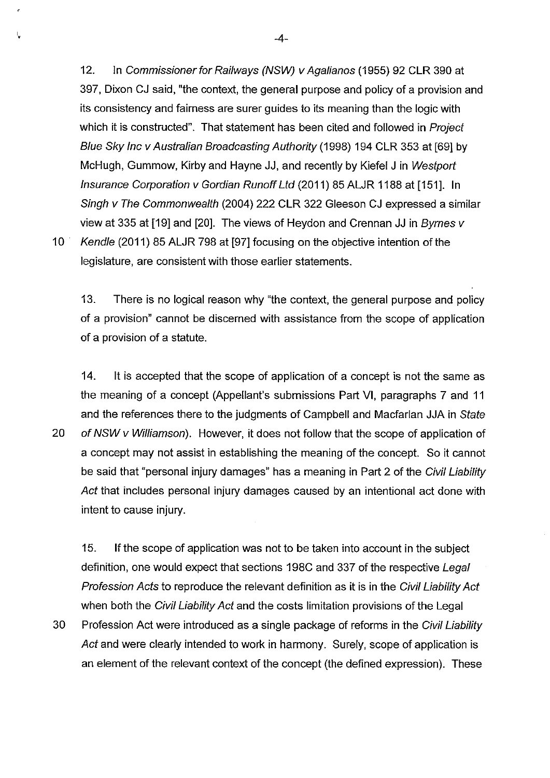12. In Commissioner for Railways (NSW) v Agalianos (1955) 92 CLR 390 at 397, Dixon CJ said, "the context, the general purpose and policy of a provision and its consistency and fairness are surer guides to its meaning than the logic with which it is constructed". That statement has been cited and followed in Project Blue Sky Inc v Australian Broadcasting Authority (1998) 194 CLR 353 at [69] by McHugh, Gummow, Kirby and Hayne JJ, and recently by Kiefel J in Westport Insurance Corporation v Gordian Runoff Ltd (2011) 85 ALJR 1188 at [151]. In Singh v The Commonwealth (2004) 222 CLR 322 Gleeson CJ expressed a similar view at 335 at [19] and [20]. The views of Heydon and Grennan JJ in Byrnes v 10 · Kendle (2011) 85 ALJR 798 at [97] focusing on the objective intention of the legislature, are consistent with those earlier statements.

13. There is no logical reason why "the context, the general purpose and policy of a provision" cannot be discerned with assistance from the scope of application of a provision of a statute.

14. It is accepted that the scope of application of a concept is not the same as the meaning of a concept (Appellant's submissions Part VI, paragraphs 7 and 11 and the references there to the judgments of Campbell and Macfarlan JJA in State 20 of NSW v Williamson). However, it does not follow that the scope of application of a concept may not assist in establishing the meaning of the concept. So it cannot be said that "personal injury damages" has a meaning in Part 2 of the Civil Liability Act that includes personal injury damages caused by an intentional act done with intent to cause injury.

15. If the scope of application was not to be taken into account in the subject definition, one would expect that sections 198C and 337 of the respective Legal Profession Acts to reproduce the relevant definition as it is in the Civil Liability Act when both the Civil Liability Act and the costs limitation provisions of the Legal

30 Profession Act were introduced as a single package of reforms in the Civil Liability Act and were clearly intended to work in harmony. Surely, scope of application is an element of the relevant context of the concept (the defined expression). These

 $\cdot$  -4-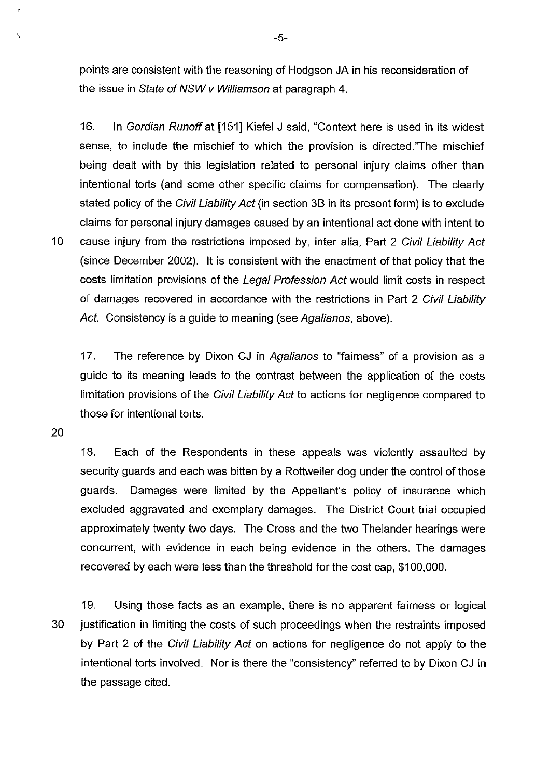points are consistent with the reasoning of Hodgson JA in his reconsideration of the issue in State of NSW v Williamson at paragraph 4.

16. In Gordian Runoff at [151] Kiefel J said, "Context here is used in its widest sense, to include the mischief to which the provision is directed."The mischief being dealt with by this legislation related to personal injury claims other than intentional torts (and some other specific claims for compensation). The clearly stated policy of the *Civil Liability Act* (in section 3B in its present form) is to exclude claims for personal injury damages caused by an intentional act done with intent to 10 cause injury from the restrictions imposed by, inter alia, Part 2 Civil Liability Act (since December 2002). It is consistent with the enactment of that policy that the costs limitation provisions of the Legal Profession Act would limit costs in respect of damages recovered in accordance with the restrictions in Part 2 Civil Liability Act. Consistency is a guide to meaning (see Agalianos, above).

17. The reference by Dixon CJ in Agalianos to "fairness" of a provision as a guide to its meaning leads to the contrast between the application of the costs limitation provisions of the Civil Liability Act to actions for negligence compared to those for intentional torts.

20

18. Each of the Respondents in these appeals was violently assaulted by security guards and each was bitten by a Rottweiler dog under the control of those guards. Damages were limited by the Appellant's policy of insurance which excluded aggravated and exemplary damages. The District Court trial occupied approximately twenty two days. The Cross and the two Thelander hearings were concurrent, with evidence in each being evidence in the others. The damages recovered by each were less than the threshold for the cost cap, \$100,000.

19. Using those facts as an example, there is no apparent fairness or logical 30 justification in limiting the costs of such proceedings when the restraints imposed by Part 2 of the Civil Liability Act on actions for negligence do not apply to the intentional torts involved. Nor is there the "consistency" referred to by Dixon CJ in the passage cited.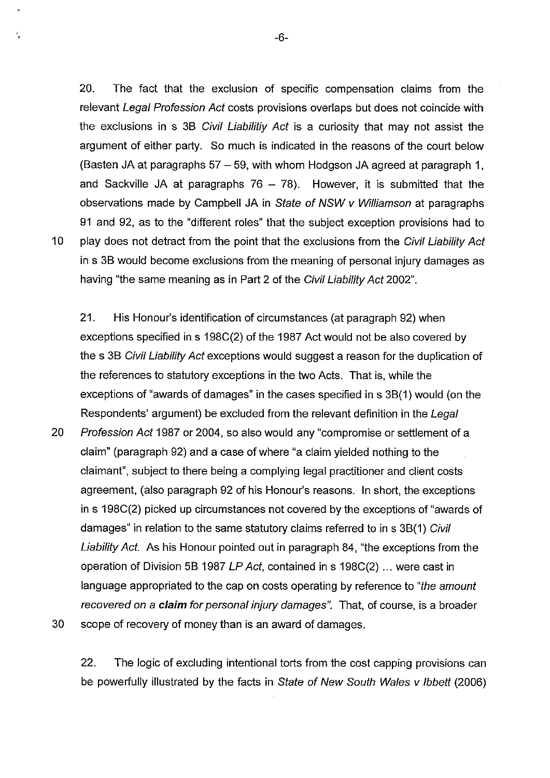20. The fact that the exclusion of specific compensation claims from the relevant Legal Profession Act costs provisions overlaps but does not coincide with the exclusions in s 38 Civil Liabilitiy Act is a curiosity that may not assist the argument of either party. So much is indicated in the reasons of the court below (Basten JA at paragraphs 57- 59, with whom Hodgson JA agreed at paragraph 1, and Sackville JA at paragraphs  $76 - 78$ ). However, it is submitted that the observations made by Campbell JA in State of NSW v Williamson at paragraphs 91 and 92, as to the "different roles" that the subject exception provisions had to 10 play does not detract from the point that the exclusions from the Civil Liability Act in s 38 would become exclusions from the meaning of personal injury damages as having "the same meaning as in Part 2 of the Civil Liability Act 2002".

Ł

21. His Honour's identification of circumstances (at paragraph 92) when exceptions specified in s 198C(2) of the 1987 Act would not be also covered by the s 38 Civil Liability Act exceptions would suggest a reason for the duplication of the references to statutory exceptions in the two Acts. That is, while the exceptions of "awards of damages" in the cases specified in s 38(1) would (on the Respondents' argument) be excluded from the relevant definition in the Legal

20 Profession Act 1987 or 2004, so also would any "compromise or settlement of a claim" (paragraph 92) and a case of where "a claim yielded nothing to the claimant", subject to there being a complying legal practitioner and client costs agreement, (also paragraph 92 of his Honour's reasons. In short, the exceptions in s 198C(2) picked up circumstances not covered by the exceptions of "awards of damages" in relation to the same statutory claims referred to in s 3B(1) Civil Liability Act. As his Honour pointed out in paragraph 84, "the exceptions from the operation of Division 58 1987 LP Act, contained in s 198C(2) ... were cast in language appropriated to the cap on costs operating by reference to "the amount recovered on a **claim** for personal injury damages". That, of course, is a broader 30 scope of recovery of money than is an award of damages.

22. The logic of excluding intentional torts from the cost capping provisions can be powerfully illustrated by the facts in State of New South Wales v lbbett (2006)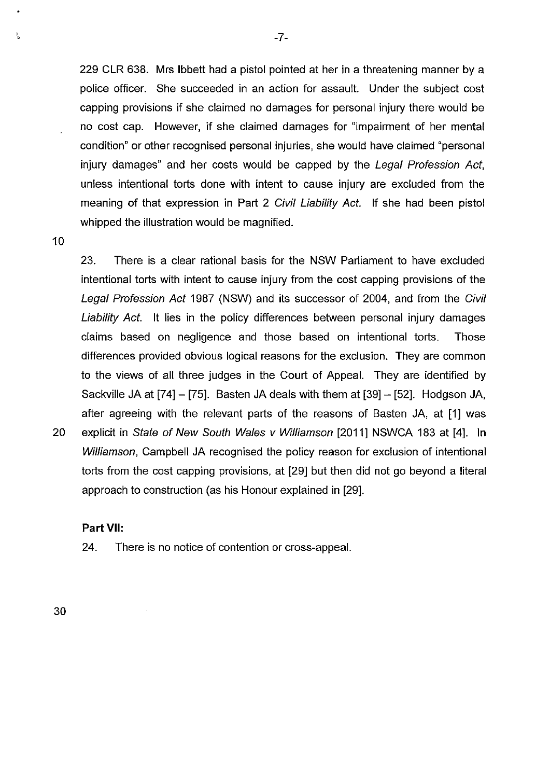229 CLR 638. Mrs lbbett had a pistol pointed at her in a threatening manner by a police officer. She succeeded in an action for assault. Under the subject cost capping provisions if she claimed no damages for personal injury there would be no cost cap. However, if she claimed damages for "impairment of her mental condition" or other recognised personal injuries, she would have claimed "personal injury damages" and her costs would be capped by the Legal Profession Act, unless intentional torts done with intent to cause injury are excluded from the meaning of that expression in Part 2 Civil Liability Act. If she had been pistol whipped the illustration would be magnified.

10

ĩ,

23. There is a clear rational basis for the NSW Parliament to have excluded intentional torts with intent to cause injury from the cost capping provisions of the Legal Profession Act 1987 (NSW) and its successor of 2004, and from the Civil Liability Act. It lies in the policy differences between personal injury damages claims based on negligence and those based on intentional torts. Those differences provided obvious logical reasons for the exclusion. They are common to the views of all three judges in the Court of Appeal. They are identified by Sackville JA at [74]- [75]. Basten JA deals with them at [39]- [52]. Hodgson JA, after agreeing with the relevant parts of the reasons of Basten JA, at [1] was 20 explicit in State of New South Wales v Williamson [2011] NSWCA 183 at [4]. In Williamson, Campbell JA recognised the policy reason for exclusion of intentional torts from the cost capping provisions, at [29] but then did not go beyond a literal approach to construction (as his Honour explained in [29].

### **Part VII:**

24. There is no notice of contention or cross-appeal.

30